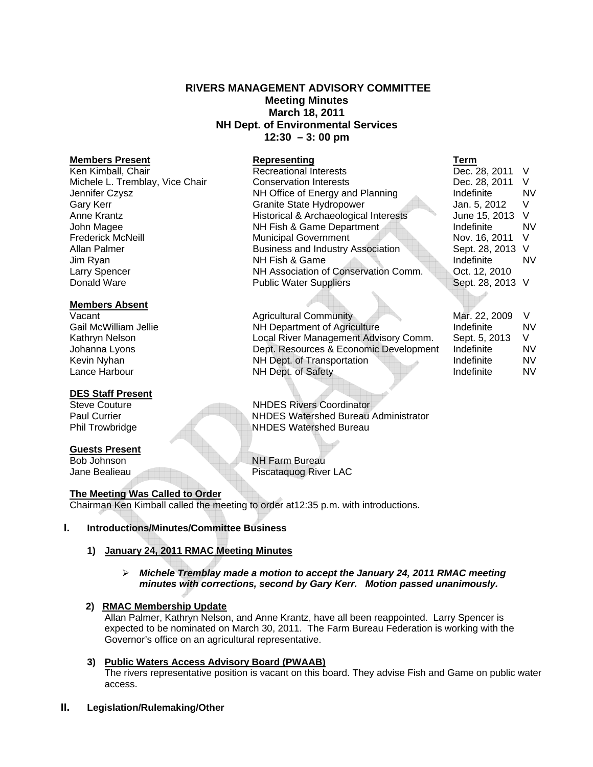# **RIVERS MANAGEMENT ADVISORY COMMITTEE Meeting Minutes March 18, 2011 NH Dept. of Environmental Services 12:30 – 3: 00 pm**

## **Members Absent**

## **DES Staff Present**

# **Guests Present**

# **The Meeting Was Called to Order**

Chairman Ken Kimball called the meeting to order at12:35 p.m. with introductions.

## **I. Introductions/Minutes/Committee Business**

# **1) January 24, 2011 RMAC Meeting Minutes**

 *Michele Tremblay made a motion to accept the January 24, 2011 RMAC meeting minutes with corrections, second by Gary Kerr. Motion passed unanimously.* 

## **2) RMAC Membership Update**

Allan Palmer, Kathryn Nelson, and Anne Krantz, have all been reappointed. Larry Spencer is expected to be nominated on March 30, 2011. The Farm Bureau Federation is working with the Governor's office on an agricultural representative.

# **3) Public Waters Access Advisory Board (PWAAB)**

The rivers representative position is vacant on this board. They advise Fish and Game on public water access.

## **II. Legislation/Rulemaking/Other**

| <b>Members Present</b>          | Representing                             | Term             |           |
|---------------------------------|------------------------------------------|------------------|-----------|
| Ken Kimball, Chair              | <b>Recreational Interests</b>            | Dec. 28, 2011 V  |           |
| Michele L. Tremblay, Vice Chair | <b>Conservation Interests</b>            | Dec. 28, 2011    | V         |
| Jennifer Czysz                  | NH Office of Energy and Planning         | Indefinite       | <b>NV</b> |
| Gary Kerr                       | <b>Granite State Hydropower</b>          | Jan. 5, 2012     | V.        |
| Anne Krantz                     | Historical & Archaeological Interests    | June 15, 2013 V  |           |
| John Magee                      | NH Fish & Game Department                | Indefinite       | <b>NV</b> |
| <b>Frederick McNeill</b>        | <b>Municipal Government</b>              | Nov. 16, 2011    | - V       |
| Allan Palmer                    | <b>Business and Industry Association</b> | Sept. 28, 2013 V |           |
| Jim Ryan                        | NH Fish & Game                           | Indefinite       | <b>NV</b> |
| Larry Spencer                   | NH Association of Conservation Comm.     | Oct. 12, 2010    |           |
| Donald Ware                     | <b>Public Water Suppliers</b>            | Sept. 28, 2013 V |           |
|                                 |                                          |                  |           |

Vacant Vacant Agricultural Community Gail McWilliam Jellie **NH Department of Agriculture** Kathryn Nelson **Local River Management Advisory Comm.** Local River Management Advisory Comm. Johanna Lyons **Dept. Resources & Economic Development** Indefinite Number Kevin Nyhan NH Dept. of Transportation Lance Harbour **NH Dept. of Safety** 

| Sept. 28, 2013 V |    |
|------------------|----|
|                  |    |
| Mar. 22, 2009    | V  |
| Indefinite       | NV |
| Sept. 5, 2013    | V  |
| Indefinite       | NV |
| Indefinite       | NV |
| Indefinite       | N٧ |

Steve Couture **NHDES** Rivers Coordinator Paul Currier NHDES Watershed Bureau Administrator Phil Trowbridge NHDES Watershed Bureau

Bob Johnson NH Farm Bureau Jane Bealieau Piscataquog River LAC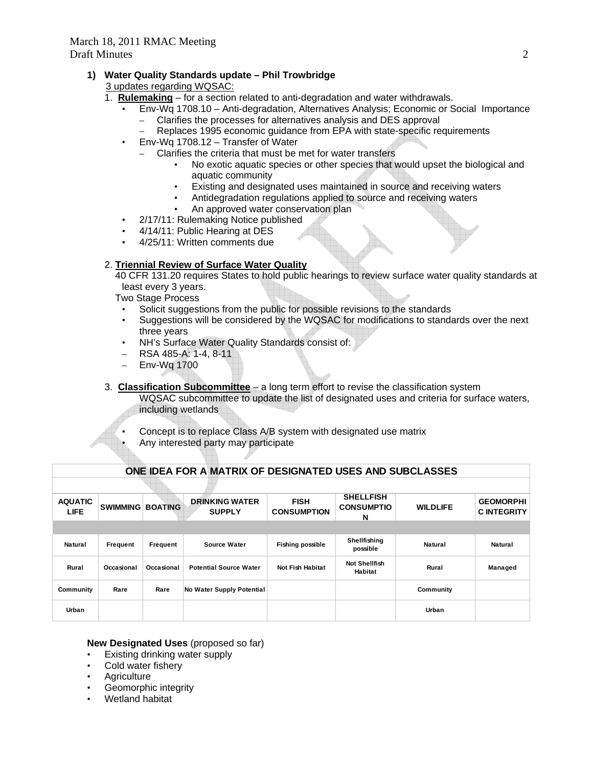# Draft Minutes 2

# **1) Water Quality Standards update – Phil Trowbridge**

3 updates regarding WQSAC:

- 1. **Rulemaking** for a section related to anti-degradation and water withdrawals.
	- Env-Wq 1708.10 Anti-degradation, Alternatives Analysis; Economic or Social Importance – Clarifies the processes for alternatives analysis and DES approval
		- Replaces 1995 economic guidance from EPA with state-specific requirements
	- Env-Wq 1708.12 Transfer of Water
		- Clarifies the criteria that must be met for water transfers
			- No exotic aquatic species or other species that would upset the biological and aquatic community
			- Existing and designated uses maintained in source and receiving waters
			- Antidegradation regulations applied to source and receiving waters
			- An approved water conservation plan
	- 2/17/11: Rulemaking Notice published
	- 4/14/11: Public Hearing at DES
	- 4/25/11: Written comments due

# 2. **Triennial Review of Surface Water Quality**

 40 CFR 131.20 requires States to hold public hearings to review surface water quality standards at least every 3 years.

Two Stage Process

- Solicit suggestions from the public for possible revisions to the standards
- Suggestions will be considered by the WQSAC for modifications to standards over the next three years
- NH's Surface Water Quality Standards consist of:
- RSA 485-A: 1-4, 8-11
- Env-Wq 1700
- 3. **Classification Subcommittee** a long term effort to revise the classification system WQSAC subcommittee to update the list of designated uses and criteria for surface waters, including wetlands

**ONE IDEA FOR A MATRIX OF DESIGNATED USES AND SUBCLASSES**

- Concept is to replace Class A/B system with designated use matrix
- Any interested party may participate

| ONE IDEA FOR A MATRIX OF DESIGNATED USES AND SUBCLASSES |                 |                |                                        |                                   |                                            |                 |                                       |  |  |
|---------------------------------------------------------|-----------------|----------------|----------------------------------------|-----------------------------------|--------------------------------------------|-----------------|---------------------------------------|--|--|
|                                                         |                 |                |                                        |                                   |                                            |                 |                                       |  |  |
| <b>AQUATIC</b><br>LIFE.                                 | <b>SWIMMING</b> | <b>BOATING</b> | <b>DRINKING WATER</b><br><b>SUPPLY</b> | <b>FISH</b><br><b>CONSUMPTION</b> | <b>SHELLFISH</b><br><b>CONSUMPTIO</b><br>N | <b>WILDLIFE</b> | <b>GEOMORPHI</b><br><b>CINTEGRITY</b> |  |  |
|                                                         |                 |                |                                        |                                   |                                            |                 |                                       |  |  |
| <b>Natural</b>                                          | Frequent        | Frequent       | <b>Source Water</b>                    | <b>Fishing possible</b>           | Shellfishing<br>possible                   | Natural         | <b>Natural</b>                        |  |  |
| Rural                                                   | Occasional      | Occasional     | <b>Potential Source Water</b>          | <b>Not Fish Habitat</b>           | <b>Not Shellfish</b><br>Habitat            | Rural           | Managed                               |  |  |
| Community                                               | Rare            | Rare           | No Water Supply Potential              |                                   |                                            | Community       |                                       |  |  |
| Urban                                                   |                 |                |                                        |                                   |                                            | Urban           |                                       |  |  |

# **New Designated Uses** (proposed so far)

- Existing drinking water supply
- Cold water fishery
- **Agriculture**
- Geomorphic integrity
- Wetland habitat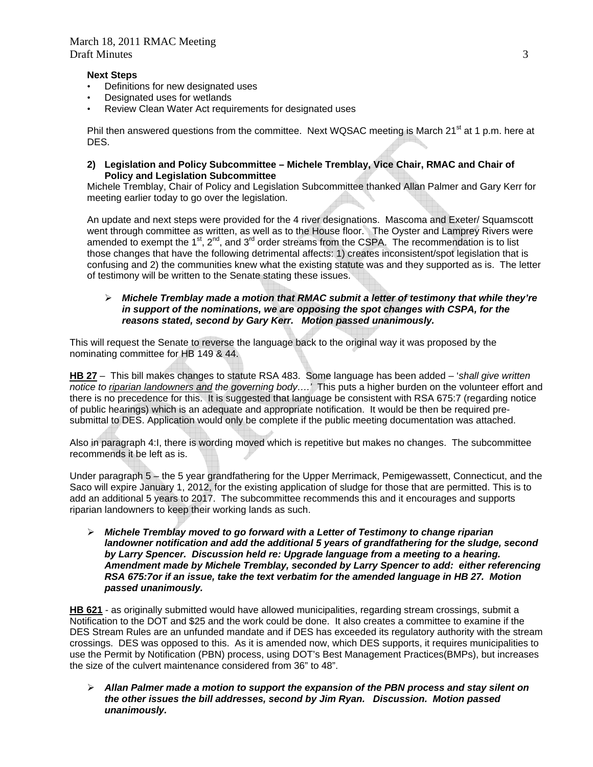## **Next Steps**

- Definitions for new designated uses
- Designated uses for wetlands
- Review Clean Water Act requirements for designated uses

Phil then answered questions from the committee. Next WQSAC meeting is March 21<sup>st</sup> at 1 p.m. here at DES.

**2) Legislation and Policy Subcommittee – Michele Tremblay, Vice Chair, RMAC and Chair of Policy and Legislation Subcommittee** 

Michele Tremblay, Chair of Policy and Legislation Subcommittee thanked Allan Palmer and Gary Kerr for meeting earlier today to go over the legislation.

An update and next steps were provided for the 4 river designations. Mascoma and Exeter/ Squamscott went through committee as written, as well as to the House floor. The Oyster and Lamprey Rivers were amended to exempt the 1<sup>st</sup>, 2<sup>nd</sup>, and 3<sup>rd</sup> order streams from the CSPA. The recommendation is to list those changes that have the following detrimental affects: 1) creates inconsistent/spot legislation that is confusing and 2) the communities knew what the existing statute was and they supported as is. The letter of testimony will be written to the Senate stating these issues.

## *Michele Tremblay made a motion that RMAC submit a letter of testimony that while they're in support of the nominations, we are opposing the spot changes with CSPA, for the reasons stated, second by Gary Kerr. Motion passed unanimously.*

This will request the Senate to reverse the language back to the original way it was proposed by the nominating committee for HB 149 & 44.

**HB 27** – This bill makes changes to statute RSA 483. Some language has been added – '*shall give written notice to riparian landowners and the governing body….'* This puts a higher burden on the volunteer effort and there is no precedence for this. It is suggested that language be consistent with RSA 675:7 (regarding notice of public hearings) which is an adequate and appropriate notification. It would be then be required presubmittal to DES. Application would only be complete if the public meeting documentation was attached.

Also in paragraph 4:I, there is wording moved which is repetitive but makes no changes. The subcommittee recommends it be left as is.

Under paragraph 5 – the 5 year grandfathering for the Upper Merrimack, Pemigewassett, Connecticut, and the Saco will expire January 1, 2012, for the existing application of sludge for those that are permitted. This is to add an additional 5 years to 2017. The subcommittee recommends this and it encourages and supports riparian landowners to keep their working lands as such.

 *Michele Tremblay moved to go forward with a Letter of Testimony to change riparian landowner notification and add the additional 5 years of grandfathering for the sludge, second by Larry Spencer. Discussion held re: Upgrade language from a meeting to a hearing. Amendment made by Michele Tremblay, seconded by Larry Spencer to add: either referencing RSA 675:7or if an issue, take the text verbatim for the amended language in HB 27. Motion passed unanimously.* 

**HB 621** - as originally submitted would have allowed municipalities, regarding stream crossings, submit a Notification to the DOT and \$25 and the work could be done. It also creates a committee to examine if the DES Stream Rules are an unfunded mandate and if DES has exceeded its regulatory authority with the stream crossings. DES was opposed to this. As it is amended now, which DES supports, it requires municipalities to use the Permit by Notification (PBN) process, using DOT's Best Management Practices(BMPs), but increases the size of the culvert maintenance considered from 36" to 48".

 *Allan Palmer made a motion to support the expansion of the PBN process and stay silent on the other issues the bill addresses, second by Jim Ryan. Discussion. Motion passed unanimously.*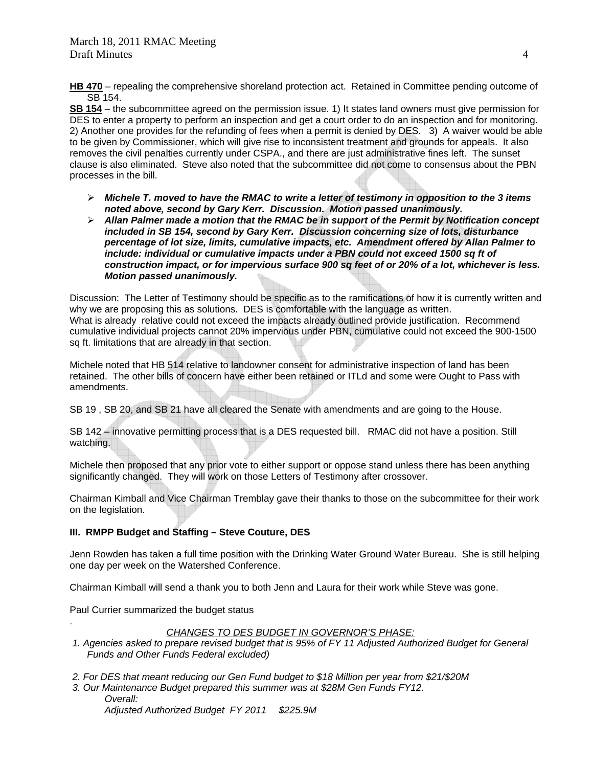**HB 470** – repealing the comprehensive shoreland protection act. Retained in Committee pending outcome of SB 154.

**SB 154** – the subcommittee agreed on the permission issue. 1) It states land owners must give permission for DES to enter a property to perform an inspection and get a court order to do an inspection and for monitoring. 2) Another one provides for the refunding of fees when a permit is denied by DES. 3) A waiver would be able to be given by Commissioner, which will give rise to inconsistent treatment and grounds for appeals.It also removes the civil penalties currently under CSPA., and there are just administrative fines left. The sunset clause is also eliminated. Steve also noted that the subcommittee did not come to consensus about the PBN processes in the bill.

- *Michele T. moved to have the RMAC to write a letter of testimony in opposition to the 3 items noted above, second by Gary Kerr. Discussion. Motion passed unanimously.*
- *Allan Palmer made a motion that the RMAC be in support of the Permit by Notification concept included in SB 154, second by Gary Kerr. Discussion concerning size of lots, disturbance percentage of lot size, limits, cumulative impacts, etc. Amendment offered by Allan Palmer to include: individual or cumulative impacts under a PBN could not exceed 1500 sq ft of construction impact, or for impervious surface 900 sq feet of or 20% of a lot, whichever is less. Motion passed unanimously.*

Discussion: The Letter of Testimony should be specific as to the ramifications of how it is currently written and why we are proposing this as solutions. DES is comfortable with the language as written. What is already relative could not exceed the impacts already outlined provide justification. Recommend cumulative individual projects cannot 20% impervious under PBN, cumulative could not exceed the 900-1500 sq ft. limitations that are already in that section.

Michele noted that HB 514 relative to landowner consent for administrative inspection of land has been retained. The other bills of concern have either been retained or ITLd and some were Ought to Pass with amendments.

SB 19 , SB 20, and SB 21 have all cleared the Senate with amendments and are going to the House.

SB 142 – innovative permitting process that is a DES requested bill. RMAC did not have a position. Still watching.

Michele then proposed that any prior vote to either support or oppose stand unless there has been anything significantly changed. They will work on those Letters of Testimony after crossover.

Chairman Kimball and Vice Chairman Tremblay gave their thanks to those on the subcommittee for their work on the legislation.

# **III. RMPP Budget and Staffing – Steve Couture, DES**

Jenn Rowden has taken a full time position with the Drinking Water Ground Water Bureau. She is still helping one day per week on the Watershed Conference.

Chairman Kimball will send a thank you to both Jenn and Laura for their work while Steve was gone.

Paul Currier summarized the budget status

.

# *CHANGES TO DES BUDGET IN GOVERNOR'S PHASE:*

- *1. Agencies asked to prepare revised budget that is 95% of FY 11 Adjusted Authorized Budget for General Funds and Other Funds Federal excluded)*
- *2. For DES that meant reducing our Gen Fund budget to \$18 Million per year from \$21/\$20M*
- *3. Our Maintenance Budget prepared this summer was at \$28M Gen Funds FY12. Overall: Adjusted Authorized Budget FY 2011 \$225.9M*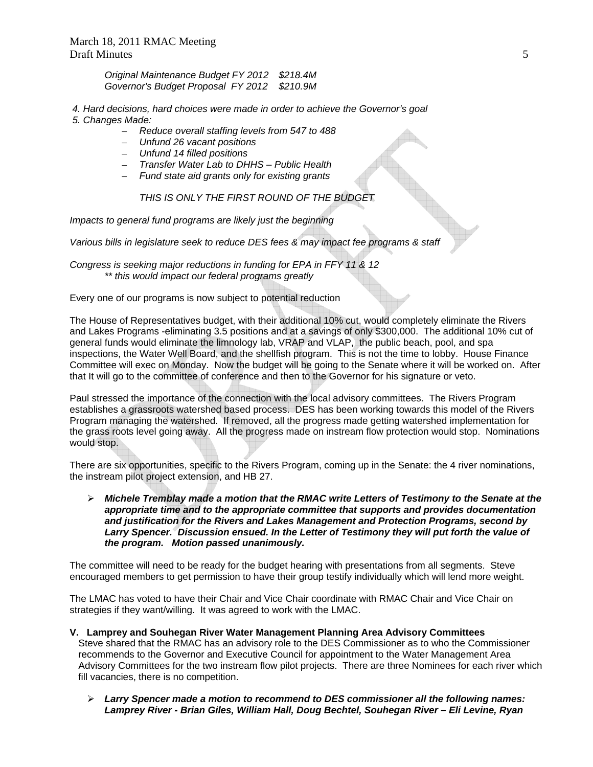*Original Maintenance Budget FY 2012 \$218.4M Governor's Budget Proposal FY 2012 \$210.9M* 

- *4. Hard decisions, hard choices were made in order to achieve the Governor's goal 5. Changes Made:* 
	- *Reduce overall staffing levels from 547 to 488*
	- *Unfund 26 vacant positions*
	- *Unfund 14 filled positions*
	- *Transfer Water Lab to DHHS Public Health*
	- *Fund state aid grants only for existing grants*

 *THIS IS ONLY THE FIRST ROUND OF THE BUDGET* 

*Impacts to general fund programs are likely just the beginning* 

*Various bills in legislature seek to reduce DES fees & may impact fee programs & staff* 

*Congress is seeking major reductions in funding for EPA in FFY 11 & 12 \*\* this would impact our federal programs greatly* 

Every one of our programs is now subject to potential reduction

The House of Representatives budget, with their additional 10% cut, would completely eliminate the Rivers and Lakes Programs -eliminating 3.5 positions and at a savings of only \$300,000. The additional 10% cut of general funds would eliminate the limnology lab, VRAP and VLAP, the public beach, pool, and spa inspections, the Water Well Board, and the shellfish program. This is not the time to lobby. House Finance Committee will exec on Monday. Now the budget will be going to the Senate where it will be worked on. After that It will go to the committee of conference and then to the Governor for his signature or veto.

Paul stressed the importance of the connection with the local advisory committees. The Rivers Program establishes a grassroots watershed based process. DES has been working towards this model of the Rivers Program managing the watershed. If removed, all the progress made getting watershed implementation for the grass roots level going away. All the progress made on instream flow protection would stop. Nominations would stop.

There are six opportunities, specific to the Rivers Program, coming up in the Senate: the 4 river nominations, the instream pilot project extension, and HB 27.

 *Michele Tremblay made a motion that the RMAC write Letters of Testimony to the Senate at the appropriate time and to the appropriate committee that supports and provides documentation and justification for the Rivers and Lakes Management and Protection Programs, second by*  Larry Spencer. Discussion ensued. In the Letter of Testimony they will put forth the value of *the program. Motion passed unanimously.* 

The committee will need to be ready for the budget hearing with presentations from all segments. Steve encouraged members to get permission to have their group testify individually which will lend more weight.

The LMAC has voted to have their Chair and Vice Chair coordinate with RMAC Chair and Vice Chair on strategies if they want/willing. It was agreed to work with the LMAC.

- **V. Lamprey and Souhegan River Water Management Planning Area Advisory Committees**  Steve shared that the RMAC has an advisory role to the DES Commissioner as to who the Commissioner recommends to the Governor and Executive Council for appointment to the Water Management Area Advisory Committees for the two instream flow pilot projects. There are three Nominees for each river which fill vacancies, there is no competition.
	- *Larry Spencer made a motion to recommend to DES commissioner all the following names: Lamprey River - Brian Giles, William Hall, Doug Bechtel, Souhegan River – Eli Levine, Ryan*